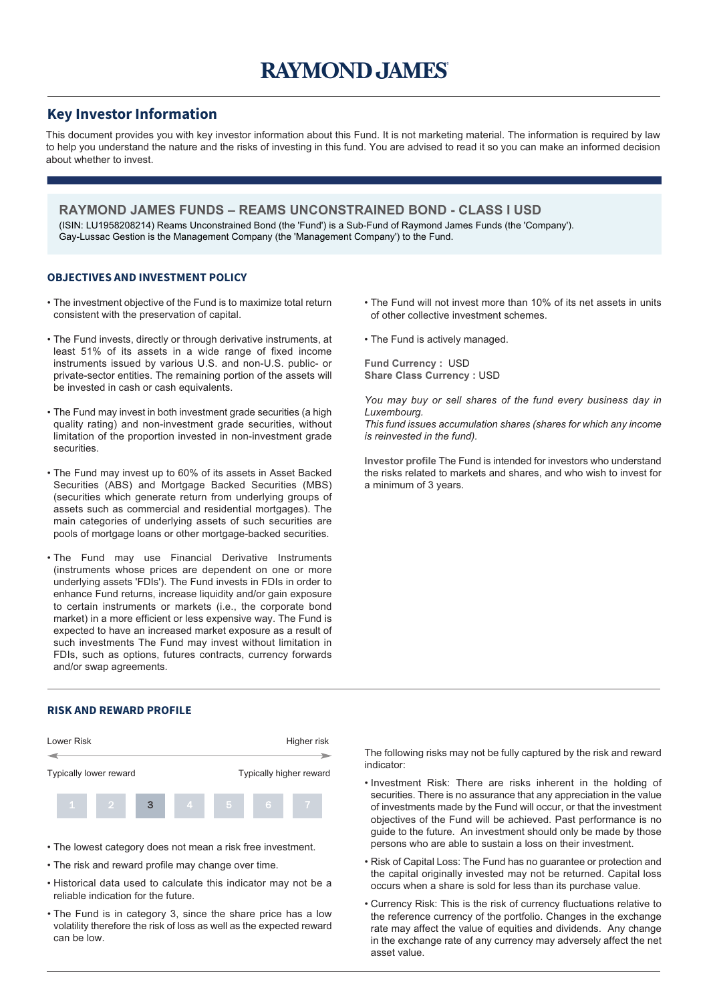## **Key Investor Information**

This document provides you with key investor information about this Fund. It is not marketing material. The information is required by law to help you understand the nature and the risks of investing in this fund. You are advised to read it so you can make an informed decision about whether to invest.

**RAYMOND JAMES FUNDS – REAMS UNCONSTRAINED BOND - CLASS I USD** (ISIN: LU1958208214) Reams Unconstrained Bond (the 'Fund') is a Sub-Fund of Raymond James Funds (the 'Company'). Gay-Lussac Gestion is the Management Company (the 'Management Company') to the Fund.

#### **OBJECTIVES AND INVESTMENT POLICY**

- The investment objective of the Fund is to maximize total return consistent with the preservation of capital.
- The Fund invests, directly or through derivative instruments, at least 51% of its assets in a wide range of fixed income instruments issued by various U.S. and non-U.S. public- or private-sector entities. The remaining portion of the assets will be invested in cash or cash equivalents.
- The Fund may invest in both investment grade securities (a high quality rating) and non-investment grade securities, without limitation of the proportion invested in non-investment grade securities.
- The Fund may invest up to 60% of its assets in Asset Backed Securities (ABS) and Mortgage Backed Securities (MBS) (securities which generate return from underlying groups of assets such as commercial and residential mortgages). The main categories of underlying assets of such securities are pools of mortgage loans or other mortgage-backed securities.
- The Fund may use Financial Derivative Instruments (instruments whose prices are dependent on one or more underlying assets 'FDIs'). The Fund invests in FDIs in order to enhance Fund returns, increase liquidity and/or gain exposure to certain instruments or markets (i.e., the corporate bond market) in a more efficient or less expensive way. The Fund is expected to have an increased market exposure as a result of such investments The Fund may invest without limitation in FDIs, such as options, futures contracts, currency forwards and/or swap agreements.

### **RISK AND REWARD PROFILE**



- The lowest category does not mean a risk free investment.
- The risk and reward profile may change over time.
- Historical data used to calculate this indicator may not be a reliable indication for the future.
- The Fund is in category 3, since the share price has a low volatility therefore the risk of loss as well as the expected reward can be low.

• The Fund will not invest more than 10% of its net assets in units of other collective investment schemes.

• The Fund is actively managed.

**Fund Currency :** USD **Share Class Currency :** USD

*You may buy or sell shares of the fund every business day in Luxembourg.*

*This fund issues accumulation shares (shares for which any income is reinvested in the fund).*

**Investor profile** The Fund is intended for investors who understand the risks related to markets and shares, and who wish to invest for a minimum of 3 years.

The following risks may not be fully captured by the risk and reward indicator:

- Investment Risk: There are risks inherent in the holding of securities. There is no assurance that any appreciation in the value of investments made by the Fund will occur, or that the investment objectives of the Fund will be achieved. Past performance is no guide to the future. An investment should only be made by those persons who are able to sustain a loss on their investment.
- Risk of Capital Loss: The Fund has no guarantee or protection and the capital originally invested may not be returned. Capital loss occurs when a share is sold for less than its purchase value.
- Currency Risk: This is the risk of currency fluctuations relative to the reference currency of the portfolio. Changes in the exchange rate may affect the value of equities and dividends. Any change in the exchange rate of any currency may adversely affect the net asset value.